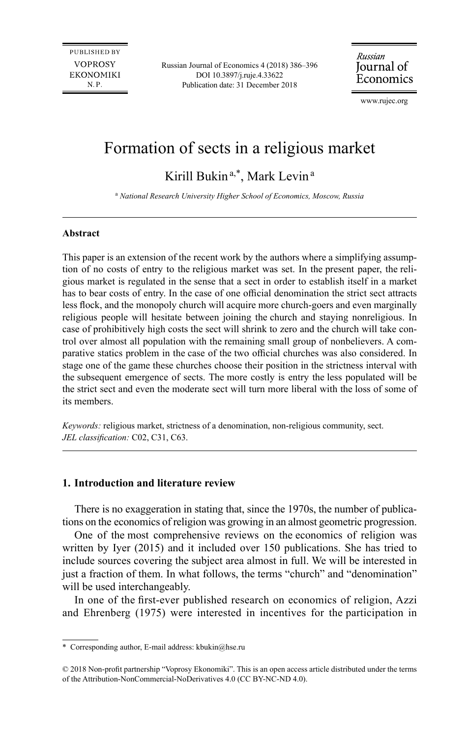PUBLISHED BY **VOPROSY EKONOMIKI** N.P.

Russian Journal of Economics 4 (2018) 386–396 DOI 10.3897/j.ruje.4.33622 Publication date: 31 December 2018

Russian Journal of Economics

[www.rujec.org](http://www.rujec.org)

# Formation of sects in a religious market

Kirill Bukin<sup>a,\*</sup>, Mark Levin<sup>a</sup>

a  *National Research University Higher School of Economics, Moscow, Russia*

#### **Abstract**

This paper is an extension of the recent work by the authors where a simplifying assumption of no costs of entry to the religious market was set. In the present paper, the religious market is regulated in the sense that a sect in order to establish itself in a market has to bear costs of entry. In the case of one official denomination the strict sect attracts less flock, and the monopoly church will acquire more church-goers and even marginally religious people will hesitate between joining the church and staying nonreligious. In case of prohibitively high costs the sect will shrink to zero and the church will take control over almost all population with the remaining small group of nonbelievers. A comparative statics problem in the case of the two official churches was also considered. In stage one of the game these churches choose their position in the strictness interval with the subsequent emergence of sects. The more costly is entry the less populated will be the strict sect and even the moderate sect will turn more liberal with the loss of some of its members.

*Keywords:* religious market, strictness of a denomination, non-religious community, sect. *JEL classification:* C02, C31, C63.

## **1. Introduction and literature review**

There is no exaggeration in stating that, since the 1970s, the number of publications on the economics of religion was growing in an almost geometric progression.

One of the most comprehensive reviews on the economics of religion was written by Iyer (2015) and it included over 150 publications. She has tried to include sources covering the subject area almost in full. We will be interested in just a fraction of them. In what follows, the terms "church" and "denomination" will be used interchangeably.

In one of the first-ever published research on economics of religion, Azzi and Ehrenberg (1975) were interested in incentives for the participation in

<sup>\*</sup> Corresponding author, E-mail address: [kbukin@hse.ru](mailto:kbukin@hse.ru)

<sup>© 2018</sup> Non-profit partnership "Voprosy Ekonomiki". This is an open access article distributed under the terms of the Attribution-NonCommercial-NoDerivatives 4.0 (CC BY-NC-ND 4.0).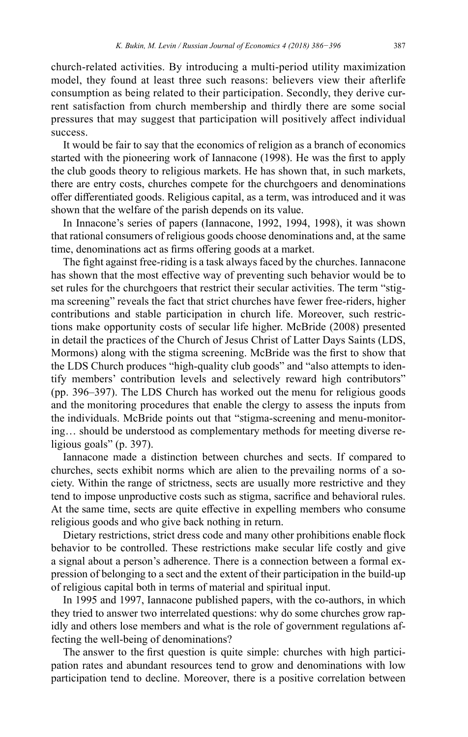church-related activities. By introducing a multi-period utility maximization model, they found at least three such reasons: believers view their afterlife consumption as being related to their participation. Secondly, they derive current satisfaction from church membership and thirdly there are some social pressures that may suggest that participation will positively affect individual success.

It would be fair to say that the economics of religion as a branch of economics started with the pioneering work of Iannacone (1998). He was the first to apply the club goods theory to religious markets. He has shown that, in such markets, there are entry costs, churches compete for the churchgoers and denominations offer differentiated goods. Religious capital, as a term, was introduced and it was shown that the welfare of the parish depends on its value.

In Innacone's series of papers (Iannacone, 1992, 1994, 1998), it was shown that rational consumers of religious goods choose denominations and, at the same time, denominations act as firms offering goods at a market.

The fight against free-riding is a task always faced by the churches. Iannacone has shown that the most effective way of preventing such behavior would be to set rules for the churchgoers that restrict their secular activities. The term "stigma screening" reveals the fact that strict churches have fewer free-riders, higher contributions and stable participation in church life. Moreover, such restrictions make opportunity costs of secular life higher. McBride (2008) presented in detail the practices of the Church of Jesus Christ of Latter Days Saints (LDS, Mormons) along with the stigma screening. McBride was the first to show that the LDS Church produces "high-quality club goods" and "also attempts to identify members' contribution levels and selectively reward high contributors" (pp. 396–397). The LDS Church has worked out the menu for religious goods and the monitoring procedures that enable the clergy to assess the inputs from the individuals. McBride points out that "stigma-screening and menu-monitoring… should be understood as complementary methods for meeting diverse religious goals" (p. 397).

Iannacone made a distinction between churches and sects. If compared to churches, sects exhibit norms which are alien to the prevailing norms of a society. Within the range of strictness, sects are usually more restrictive and they tend to impose unproductive costs such as stigma, sacrifice and behavioral rules. At the same time, sects are quite effective in expelling members who consume religious goods and who give back nothing in return.

Dietary restrictions, strict dress code and many other prohibitions enable flock behavior to be controlled. These restrictions make secular life costly and give a signal about a person's adherence. There is a connection between a formal expression of belonging to a sect and the extent of their participation in the build-up of religious capital both in terms of material and spiritual input.

In 1995 and 1997, Iannacone published papers, with the co-authors, in which they tried to answer two interrelated questions: why do some churches grow rapidly and others lose members and what is the role of government regulations affecting the well-being of denominations?

The answer to the first question is quite simple: churches with high participation rates and abundant resources tend to grow and denominations with low participation tend to decline. Moreover, there is a positive correlation between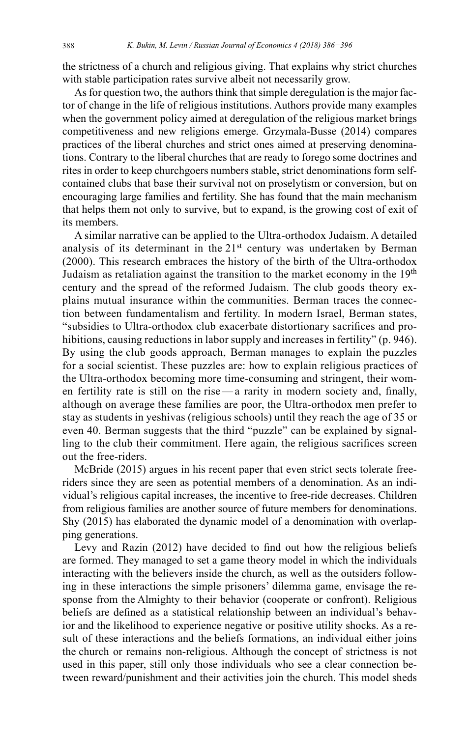the strictness of a church and religious giving. That explains why strict churches with stable participation rates survive albeit not necessarily grow.

As for question two, the authors think that simple deregulation is the major factor of change in the life of religious institutions. Authors provide many examples when the government policy aimed at deregulation of the religious market brings competitiveness and new religions emerge. Grzymala-Busse (2014) compares practices of the liberal churches and strict ones aimed at preserving denominations. Contrary to the liberal churches that are ready to forego some doctrines and rites in order to keep churchgoers numbers stable, strict denominations form selfcontained clubs that base their survival not on proselytism or conversion, but on encouraging large families and fertility. She has found that the main mechanism that helps them not only to survive, but to expand, is the growing cost of exit of its members.

A similar narrative can be applied to the Ultra-orthodox Judaism. A detailed analysis of its determinant in the 21<sup>st</sup> century was undertaken by Berman (2000). This research embraces the history of the birth of the Ultra-orthodox Judaism as retaliation against the transition to the market economy in the  $19<sup>th</sup>$ century and the spread of the reformed Judaism. The club goods theory explains mutual insurance within the communities. Berman traces the connection between fundamentalism and fertility. In modern Israel, Berman states, "subsidies to Ultra-orthodox club exacerbate distortionary sacrifices and prohibitions, causing reductions in labor supply and increases in fertility" (p. 946). By using the club goods approach, Berman manages to explain the puzzles for a social scientist. These puzzles are: how to explain religious practices of the Ultra-orthodox becoming more time-consuming and stringent, their women fertility rate is still on the rise—a rarity in modern society and, finally, although on average these families are poor, the Ultra-orthodox men prefer to stay as students in yeshivas (religious schools) until they reach the age of 35 or even 40. Berman suggests that the third "puzzle" can be explained by signalling to the club their commitment. Here again, the religious sacrifices screen out the free-riders.

McBride (2015) argues in his recent paper that even strict sects tolerate freeriders since they are seen as potential members of a denomination. As an individual's religious capital increases, the incentive to free-ride decreases. Children from religious families are another source of future members for denominations. Shy (2015) has elaborated the dynamic model of a denomination with overlapping generations.

Levy and Razin (2012) have decided to find out how the religious beliefs are formed. They managed to set a game theory model in which the individuals interacting with the believers inside the church, as well as the outsiders following in these interactions the simple prisoners' dilemma game, envisage the response from the Almighty to their behavior (cooperate or confront). Religious beliefs are defined as a statistical relationship between an individual's behavior and the likelihood to experience negative or positive utility shocks. As a result of these interactions and the beliefs formations, an individual either joins the church or remains non-religious. Although the concept of strictness is not used in this paper, still only those individuals who see a clear connection between reward/punishment and their activities join the church. This model sheds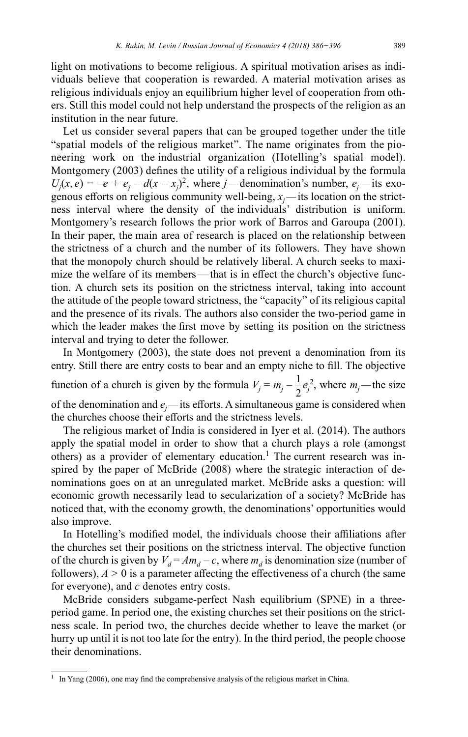light on motivations to become religious. A spiritual motivation arises as individuals believe that cooperation is rewarded. A material motivation arises as religious individuals enjoy an equilibrium higher level of cooperation from others. Still this model could not help understand the prospects of the religion as an institution in the near future.

Let us consider several papers that can be grouped together under the title "spatial models of the religious market". The name originates from the pioneering work on the industrial organization (Hotelling's spatial model). Montgomery (2003) defines the utility of a religious individual by the formula  $U_j(x, e) = -e + e_j - d(x - x_j)^2$ , where *j*—denomination's number,  $e_j$ —its exogenous efforts on religious community well-being, *xj—*its location on the strictness interval where the density of the individuals' distribution is uniform. Montgomery's research follows the prior work of Barros and Garoupa (2001). In their paper, the main area of research is placed on the relationship between the strictness of a church and the number of its followers. They have shown that the monopoly church should be relatively liberal. A church seeks to maximize the welfare of its members—that is in effect the church's objective function. A church sets its position on the strictness interval, taking into account the attitude of the people toward strictness, the "capacity" of its religious capital and the presence of its rivals. The authors also consider the two-period game in which the leader makes the first move by setting its position on the strictness interval and trying to deter the follower.

In Montgomery (2003), the state does not prevent a denomination from its entry. Still there are entry costs to bear and an empty niche to fill. The objective function of a church is given by the formula  $V_j = m_j - \frac{1}{2}e_j^2$ , where  $m_j$ —the size

of the denomination and *ej—*its efforts. A simultaneous game is considered when the churches choose their efforts and the strictness levels.

The religious market of India is considered in Iyer et al. (2014). The authors apply the spatial model in order to show that a church plays a role (amongst others) as a provider of elementary education.<sup>1</sup> The current research was inspired by the paper of McBride (2008) where the strategic interaction of denominations goes on at an unregulated market. McBride asks a question: will economic growth necessarily lead to secularization of a society? McBride has noticed that, with the economy growth, the denominations' opportunities would also improve.

In Hotelling's modified model, the individuals choose their affiliations after the churches set their positions on the strictness interval. The objective function of the church is given by  $V_d = Am_d - c$ , where  $m_d$  is denomination size (number of followers),  $A > 0$  is a parameter affecting the effectiveness of a church (the same for everyone), and *c* denotes entry costs.

McBride considers subgame-perfect Nash equilibrium (SPNE) in a threeperiod game. In period one, the existing churches set their positions on the strictness scale. In period two, the churches decide whether to leave the market (or hurry up until it is not too late for the entry). In the third period, the people choose their denominations.

<sup>&</sup>lt;sup>1</sup> In Yang (2006), one may find the comprehensive analysis of the religious market in China.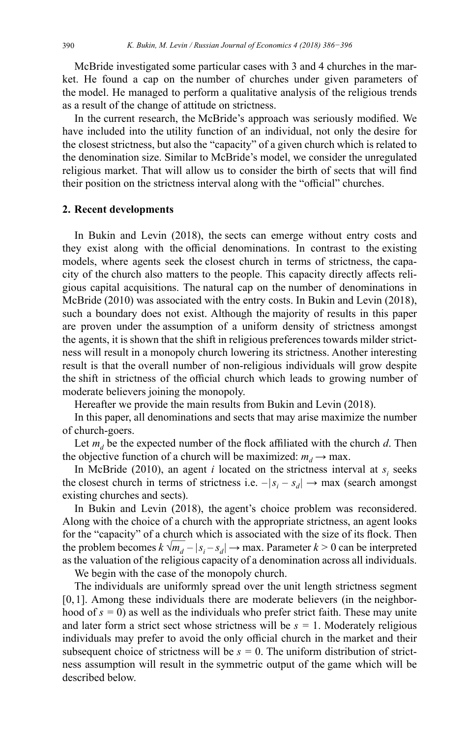McBride investigated some particular cases with 3 and 4 churches in the market. He found a cap on the number of churches under given parameters of the model. He managed to perform a qualitative analysis of the religious trends as a result of the change of attitude on strictness.

In the current research, the McBride's approach was seriously modified. We have included into the utility function of an individual, not only the desire for the closest strictness, but also the "capacity" of a given church which is related to the denomination size. Similar to McBride's model, we consider the unregulated religious market. That will allow us to consider the birth of sects that will find their position on the strictness interval along with the "official" churches.

#### **2. Recent developments**

In Bukin and Levin (2018), the sects can emerge without entry costs and they exist along with the official denominations. In contrast to the existing models, where agents seek the closest church in terms of strictness, the capacity of the church also matters to the people. This capacity directly affects religious capital acquisitions. The natural cap on the number of denominations in McBride (2010) was associated with the entry costs. In Bukin and Levin (2018), such a boundary does not exist. Although the majority of results in this paper are proven under the assumption of a uniform density of strictness amongst the agents, it is shown that the shift in religious preferences towards milder strictness will result in a monopoly church lowering its strictness. Another interesting result is that the overall number of non-religious individuals will grow despite the shift in strictness of the official church which leads to growing number of moderate believers joining the monopoly.

Hereafter we provide the main results from Bukin and Levin (2018).

In this paper, all denominations and sects that may arise maximize the number of church-goers.

Let  $m_d$  be the expected number of the flock affiliated with the church *d*. Then the objective function of a church will be maximized:  $m_d \rightarrow$  max.

In McBride (2010), an agent *i* located on the strictness interval at  $s_i$  seeks the closest church in terms of strictness i.e.  $-|s_i - s_d| \rightarrow \max$  (search amongst existing churches and sects).

In Bukin and Levin (2018), the agent's choice problem was reconsidered. Along with the choice of a church with the appropriate strictness, an agent looks for the "capacity" of a church which is associated with the size of its flock. Then tor the capacity of a church which is associated with the size of its nock. Then<br>the problem becomes  $k \sqrt{m_d} - |s_i - s_d| \rightarrow \text{max}$ . Parameter  $k > 0$  can be interpreted as the valuation of the religious capacity of a denomination across all individuals.

We begin with the case of the monopoly church.

The individuals are uniformly spread over the unit length strictness segment [0, 1]. Among these individuals there are moderate believers (in the neighborhood of  $s = 0$ ) as well as the individuals who prefer strict faith. These may unite and later form a strict sect whose strictness will be  $s = 1$ . Moderately religious individuals may prefer to avoid the only official church in the market and their subsequent choice of strictness will be  $s = 0$ . The uniform distribution of strictness assumption will result in the symmetric output of the game which will be described below.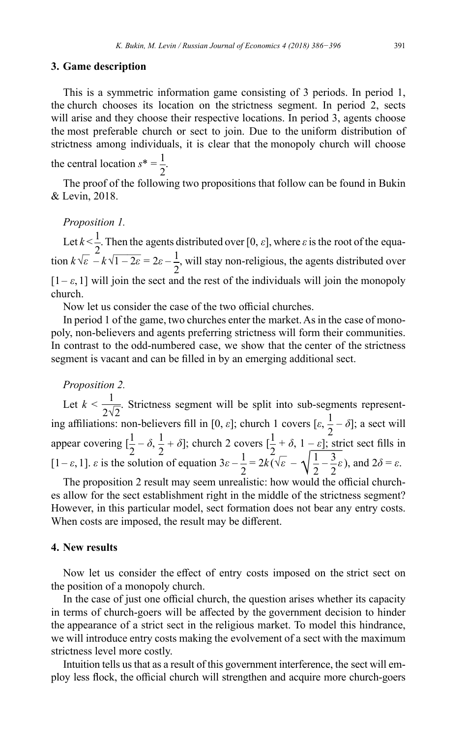## **3. Game description**

This is a symmetric information game consisting of 3 periods. In period 1, the church chooses its location on the strictness segment. In period 2, sects will arise and they choose their respective locations. In period 3, agents choose the most preferable church or sect to join. Due to the uniform distribution of strictness among individuals, it is clear that the monopoly church will choose the central location  $s^* = \frac{1}{2}$ 2 .

The proof of the following two propositions that follow can be found in Bukin & Levin, 2018.

*Proposition 1.*

Let  $k < \frac{1}{2}$ 2 . Then the agents distributed over [0, *ε*], where *ε* is the root of the equa-Let  $k < \frac{1}{2}$ . Then the agents c<br>tion  $k\sqrt{\varepsilon} - k\sqrt{1 - 2\varepsilon} = 2\varepsilon - \frac{1}{2}$ 2 , will stay non-religious, the agents distributed over  $[1 - \varepsilon, 1]$  will join the sect and the rest of the individuals will join the monopoly church.

Now let us consider the case of the two official churches.

In period 1 of the game, two churches enter the market. As in the case of monopoly, non-believers and agents preferring strictness will form their communities. In contrast to the odd-numbered case, we show that the center of the strictness segment is vacant and can be filled in by an emerging additional sect.

# *Proposition 2.*

Let  $k < \frac{1}{2\sqrt{2}}$ . Strictness segment will be split into sub-segments represent- $2√2$ <br>ing affiliations: non-believers fill in [0, *ε*]; church 1 covers [*ε*,  $\frac{1}{2} - ∂$ ]; a sect will appear covering  $\left[\frac{1}{2} - \delta, \frac{1}{2} + \delta\right]$ ; church 2 covers  $\left[\frac{1}{2} - \delta, \frac{1}{2} + \delta\right]$  $+ \delta$ ,  $1 - \varepsilon$ ]; strict sect fills in  $\left[1-\varepsilon, 1\right]$ .  $\varepsilon$  is the solution of equation 3 $\varepsilon - \frac{1}{2}$ 2  $= 2k(\sqrt{ε})$ *<sup>ε</sup>* – *√*  $[\varepsilon, \frac{1}{2} - \varepsilon]$ ; str<br> $\frac{1}{2} - \frac{3}{2} \varepsilon$ *ε*), and 2*δ* = *ε*.

The proposition 2 result may seem unrealistic: how would the official churches allow for the sect establishment right in the middle of the strictness segment? However, in this particular model, sect formation does not bear any entry costs. When costs are imposed, the result may be different.

## **4. New results**

Now let us consider the effect of entry costs imposed on the strict sect on the position of a monopoly church.

In the case of just one official church, the question arises whether its capacity in terms of church-goers will be affected by the government decision to hinder the appearance of a strict sect in the religious market. To model this hindrance, we will introduce entry costs making the evolvement of a sect with the maximum strictness level more costly.

Intuition tells us that as a result of this government interference, the sect will employ less flock, the official church will strengthen and acquire more church-goers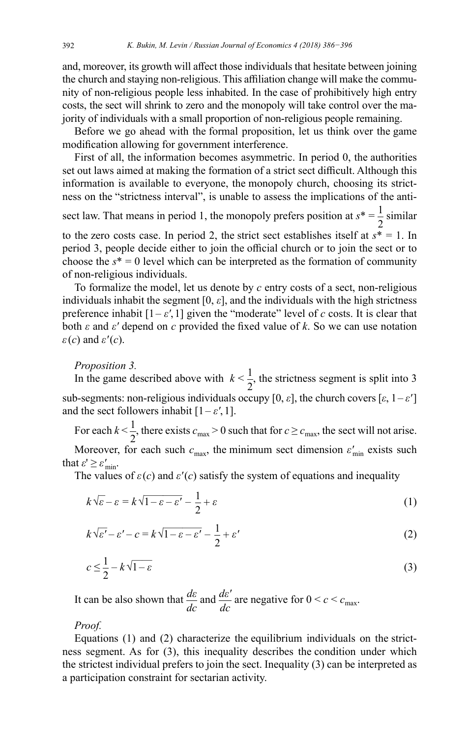and, moreover, its growth will affect those individuals that hesitate between joining the church and staying non-religious. This affiliation change will make the community of non-religious people less inhabited. In the case of prohibitively high entry costs, the sect will shrink to zero and the monopoly will take control over the majority of individuals with a small proportion of non-religious people remaining.

Before we go ahead with the formal proposition, let us think over the game modification allowing for government interference.

First of all, the information becomes asymmetric. In period 0, the authorities set out laws aimed at making the formation of a strict sect difficult. Although this information is available to everyone, the monopoly church, choosing its strictness on the "strictness interval", is unable to assess the implications of the anti-

sect law. That means in period 1, the monopoly prefers position at  $s^* = \frac{1}{2}$ 2 similar to the zero costs case. In period 2, the strict sect establishes itself at  $s^* = 1$ . In period 3, people decide either to join the official church or to join the sect or to choose the  $s^* = 0$  level which can be interpreted as the formation of community of non-religious individuals.

To formalize the model, let us denote by *c* entry costs of a sect, non-religious individuals inhabit the segment  $[0, \varepsilon]$ , and the individuals with the high strictness preference inhabit  $[1-\varepsilon', 1]$  given the "moderate" level of *c* costs. It is clear that both *ε* and *ε'* depend on *c* provided the fixed value of *k*. So we can use notation *ε*(*c*) and *ε'*(*c*).

#### *Proposition 3.*

In the game described above with  $k < \frac{1}{2}$ 2 , the strictness segment is split into 3 sub-segments: non-religious individuals occupy  $[0, \varepsilon]$ , the church covers  $[\varepsilon, 1-\varepsilon']$ and the sect followers inhabit  $[1-\varepsilon', 1]$ .

For each  $k < \frac{1}{2}$  $\frac{1}{2}$ , there exists  $c_{\text{max}} > 0$  such that for  $c \ge c_{\text{max}}$ , the sect will not arise.

Moreover, for each such  $c_{\text{max}}$ , the minimum sect dimension  $\varepsilon'_{\text{min}}$  exists such that  $\varepsilon' \geq \varepsilon'_{\min}$ .

The values of 
$$
\varepsilon(c)
$$
 and  $\varepsilon'(c)$  satisfy the system of equations and inequality  
\n
$$
k\sqrt{\varepsilon} - \varepsilon = k\sqrt{1 - \varepsilon - \varepsilon'} - \frac{1}{2} + \varepsilon
$$
\n(1)

$$
\kappa \sqrt{\varepsilon - \varepsilon} - \kappa \sqrt{1 - \varepsilon - \varepsilon} - \frac{1}{2} + \varepsilon
$$
  
\n
$$
k \sqrt{\varepsilon'} - \varepsilon' - c = k \sqrt{1 - \varepsilon - \varepsilon'} - \frac{1}{2} + \varepsilon'
$$
 (1)

$$
c \leq \frac{1}{2} - k\sqrt{1 - \varepsilon} \tag{3}
$$

It can be also shown that *dε dc* and  $\frac{d\varepsilon'}{dc}$  are negative for  $0 < c < c_{\text{max}}$ .

*Proof.*

Equations (1) and (2) characterize the equilibrium individuals on the strictness segment. As for (3), this inequality describes the condition under which the strictest individual prefers to join the sect. Inequality (3) can be interpreted as a participation constraint for sectarian activity.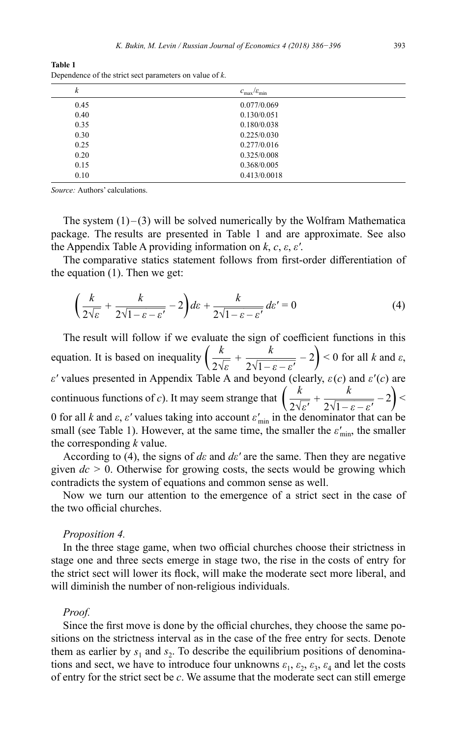**Table 1** Dependence of the strict sect parameters on value of *k*.

| k    | $c_{\text{max}}/c_{\text{min}}$ |  |
|------|---------------------------------|--|
| 0.45 | 0.077/0.069                     |  |
| 0.40 | 0.130/0.051                     |  |
| 0.35 | 0.180/0.038                     |  |
| 0.30 | 0.225/0.030                     |  |
| 0.25 | 0.277/0.016                     |  |
| 0.20 | 0.325/0.008                     |  |
| 0.15 | 0.368/0.005                     |  |
| 0.10 | 0.413/0.0018                    |  |

*Source:* Authors' calculations.

The system  $(1)$ – $(3)$  will be solved numerically by the Wolfram Mathematica package. The results are presented in Table 1 and are approximate. See also the Appendix Table A providing information on *k*, *c*, *ε*, *ε'*.

The comparative statics statement follows from first-order differentiation of the equation (1). Then we get:

$$
\left(\frac{k}{2\sqrt{\varepsilon}}+\frac{k}{2\sqrt{1-\varepsilon-\varepsilon'}}-2\right)d\varepsilon+\frac{k}{2\sqrt{1-\varepsilon-\varepsilon'}}d\varepsilon'=0
$$
\n(4)

The result will follow if we evaluate the sign of coefficient functions in this equation. It is based on inequality  $\left(\frac{k}{2\sqrt{\varepsilon}}\right)$ + *k* sign of coefficient functions in this<br>  $\frac{k}{2\sqrt{1-\varepsilon-\varepsilon'}}-2$  > 0 for all *k* and  $\varepsilon$ , *ε'* values presented in Appendix Table A and beyond (clearly, *ε*(*c*) and *ε'*(*c*) are continuous functions of *c*). It may seem strange that  $\left(\frac{k}{2\sqrt{\varepsilon'}}\right)$ + *k*  $\frac{k}{2\sqrt{1-\varepsilon-\varepsilon'}} - 2$  <br>  $\left(\frac{k}{2\sqrt{1-\varepsilon-\varepsilon'}}\right) <$ 0 for all *k* and *ε*, *ε'* values taking into account *ε'*min in the denominator that can be small (see Table 1). However, at the same time, the smaller the  $\varepsilon'_{\text{min}}$ , the smaller the corresponding *k* value.

According to (4), the signs of *dε* and *dε'* are the same. Then they are negative given *dc >* 0. Otherwise for growing costs, the sects would be growing which contradicts the system of equations and common sense as well.

Now we turn our attention to the emergence of a strict sect in the case of the two official churches.

#### *Proposition 4.*

In the three stage game, when two official churches choose their strictness in stage one and three sects emerge in stage two, the rise in the costs of entry for the strict sect will lower its flock, will make the moderate sect more liberal, and will diminish the number of non-religious individuals.

#### *Proof.*

Since the first move is done by the official churches, they choose the same positions on the strictness interval as in the case of the free entry for sects. Denote them as earlier by  $s_1$  and  $s_2$ . To describe the equilibrium positions of denominations and sect, we have to introduce four unknowns  $\varepsilon_1$ ,  $\varepsilon_2$ ,  $\varepsilon_3$ ,  $\varepsilon_4$  and let the costs of entry for the strict sect be *c*. We assume that the moderate sect can still emerge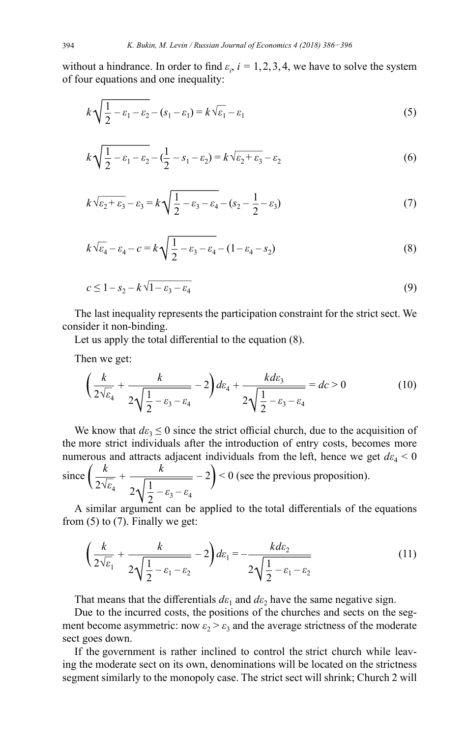without a hindrance. In order to find  $\varepsilon_i$ ,  $i = 1, 2, 3, 4$ , we have to solve the system of four equations and one inequality:

*K. Bukin, M. Levin / Russian Journal of Economics 4 (2018) 386–396*  
but a hindrance. In order to find 
$$
\varepsilon_i
$$
,  $i = 1, 2, 3, 4$ , we have to solve the system  
ur equations and one inequality:  

$$
k\sqrt{\frac{1}{2} - \varepsilon_1 - \varepsilon_2} - (s_1 - \varepsilon_1) = k\sqrt{\varepsilon_1} - \varepsilon_1
$$
(5)  

$$
k\sqrt{\frac{1}{2} - \varepsilon_1 - \varepsilon_2} - (\frac{1}{2} - s_1 - \varepsilon_2) = k\sqrt{\varepsilon_2 + \varepsilon_3} - \varepsilon_2
$$
(6)

$$
k\sqrt{\frac{1}{2} - \varepsilon_1 - \varepsilon_2} - (\frac{1}{2} - s_1 - \varepsilon_2) = k\sqrt{\varepsilon_2 + \varepsilon_3} - \varepsilon_2
$$
(6)  

$$
k\sqrt{\frac{1}{2} - \varepsilon_1 - \varepsilon_2} - (\frac{1}{2} - s_1 - \varepsilon_2) = k\sqrt{\varepsilon_2 + \varepsilon_3} - \varepsilon_2
$$
(6)  

$$
k\sqrt{\varepsilon_2 + \varepsilon_3} - \varepsilon_3 = k\sqrt{\frac{1}{2} - \varepsilon_3 - \varepsilon_4} - (s_2 - \frac{1}{2} - \varepsilon_3)
$$
(7)

$$
k\sqrt{\varepsilon_2 + \varepsilon_3} - \varepsilon_3 = k\sqrt{\frac{1}{2} - \varepsilon_3 - \varepsilon_4} - (s_2 - \frac{1}{2} - \varepsilon_3)
$$
(7)  

$$
k\sqrt{\varepsilon_4} - \varepsilon_4 - c = k\sqrt{\frac{1}{2} - \varepsilon_3 - \varepsilon_4} - (1 - \varepsilon_4 - s_2)
$$
(8)

$$
k\sqrt{\varepsilon_4} - \varepsilon_4 - c = k\sqrt{\frac{1}{2} - \varepsilon_3 - \varepsilon_4} - (1 - \varepsilon_4 - s_2) \tag{8}
$$

$$
\sqrt{2} \zeta_3^2 + \zeta_4^2 + \zeta_2^2
$$

The last inequality represents the participation constraint for the strict sect. We consider it non-binding.

Let us apply the total differential to the equation (8).

Then we get:

ider it non-binding.  
\nLet us apply the total differential to the equation (8).  
\nthen we get:  
\n
$$
\left(\frac{k}{2\sqrt{\varepsilon_4}} + \frac{k}{2\sqrt{\frac{1}{2} - \varepsilon_3 - \varepsilon_4}} - 2\right) d\varepsilon_4 + \frac{k d\varepsilon_3}{2\sqrt{\frac{1}{2} - \varepsilon_3 - \varepsilon_4}} = d\varepsilon > 0
$$
\n(10)

We know that  $d\varepsilon_3 \leq 0$  since the strict official church, due to the acquisition of the more strict individuals after the introduction of entry costs, becomes more numerous and attracts adjacent individuals from the left, hence we get  $d\varepsilon_4 < 0$ since  $\left(\frac{k}{2\sqrt{\varepsilon}}\right)$ *ε*4 + *k* at  $d\epsilon_3 \le 0$  since<br>individuals at<br>attracts adjace<br> $\frac{k}{2\sqrt{\frac{1}{2}-\epsilon_3-\epsilon_4}}$  $\frac{1}{2} - \varepsilon_3 - \varepsilon_4$  $-2$   $\geq$   $\geq$  0 (see the previous proposition).

A similar argument can be applied to the total differentials of the equations from (5) to (7). Finally we get:

$$
2\sqrt{\frac{1}{2}} - \varepsilon_3 - \varepsilon_4
$$
  
similar argument can be applied to the total differentials of the equations  
(5) to (7). Finally we get:  

$$
\left(\frac{k}{2\sqrt{\varepsilon_1}} + \frac{k}{2\sqrt{\frac{1}{2}} - \varepsilon_1 - \varepsilon_2} - 2\right) d\varepsilon_1 = -\frac{k d\varepsilon_2}{2\sqrt{\frac{1}{2} - \varepsilon_1 - \varepsilon_2}}
$$
(11)

That means that the differentials  $d\varepsilon_1$  and  $d\varepsilon_2$  have the same negative sign.

Due to the incurred costs, the positions of the churches and sects on the segment become asymmetric: now  $\varepsilon_2 > \varepsilon_3$  and the average strictness of the moderate sect goes down.

If the government is rather inclined to control the strict church while leaving the moderate sect on its own, denominations will be located on the strictness segment similarly to the monopoly case. The strict sect will shrink; Church 2 will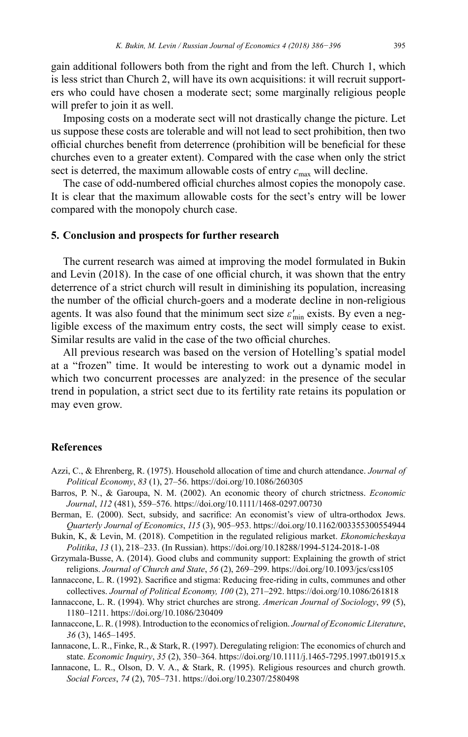gain additional followers both from the right and from the left. Church 1, which is less strict than Church 2, will have its own acquisitions: it will recruit supporters who could have chosen a moderate sect; some marginally religious people will prefer to join it as well.

Imposing costs on a moderate sect will not drastically change the picture. Let us suppose these costs are tolerable and will not lead to sect prohibition, then two official churches benefit from deterrence (prohibition will be beneficial for these churches even to a greater extent). Compared with the case when only the strict sect is deterred, the maximum allowable costs of entry  $c_{\text{max}}$  will decline.

The case of odd-numbered official churches almost copies the monopoly case. It is clear that the maximum allowable costs for the sect's entry will be lower compared with the monopoly church case.

#### **5. Conclusion and prospects for further research**

The current research was aimed at improving the model formulated in Bukin and Levin (2018). In the case of one official church, it was shown that the entry deterrence of a strict church will result in diminishing its population, increasing the number of the official church-goers and a moderate decline in non-religious agents. It was also found that the minimum sect size  $\varepsilon'_{\min}$  exists. By even a negligible excess of the maximum entry costs, the sect will simply cease to exist. Similar results are valid in the case of the two official churches.

All previous research was based on the version of Hotelling's spatial model at a "frozen" time. It would be interesting to work out a dynamic model in which two concurrent processes are analyzed: in the presence of the secular trend in population, a strict sect due to its fertility rate retains its population or may even grow.

#### **References**

- Azzi, C., & Ehrenberg, R. (1975). Household allocation of time and church attendance. *Journal of Political Economy*, *83* (1), 27–56.<https://doi.org/10.1086/260305>
- Barros, P. N., & Garoupa, N. M. (2002). An economic theory of church strictness. *Economic Journal*, *112* (481), 559–576.<https://doi.org/10.1111/1468-0297.00730>
- Berman, E. (2000). Sect, subsidy, and sacrifice: An economist's view of ultra-orthodox Jews. *Quarterly Journal of Economics*, *115* (3), 905–953.<https://doi.org/10.1162/003355300554944>
- Bukin, K, & Levin, M. (2018). Competition in the regulated religious market. *Ekonomicheskaya Politika*, *13* (1), 218–233. (In Russian). <https://doi.org/10.18288/1994-5124-2018-1-08>
- Grzymala-Busse, A. (2014). Good clubs and community support: Explaining the growth of strict religions. *Journal of Church and State*, *56* (2), 269–299. <https://doi.org/10.1093/jcs/css105>
- Iannaccone, L. R. (1992). Sacrifice and stigma: Reducing free-riding in cults, communes and other collectives. *Journal of Political Economy, 100* (2), 271–292. <https://doi.org/10.1086/261818>
- Iannaccone, L. R. (1994). Why strict churches are strong. *American Journal of Sociology*, *99* (5), 1180–1211. <https://doi.org/10.1086/230409>
- Iannaccone, L. R. (1998). Introduction to the economics of religion. *Journal of Economic Literature*, *36* (3), 1465–1495.

Iannacone, L. R., Finke, R., & Stark, R. (1997). Deregulating religion: The economics of church and state. *Economic Inquiry*, *35* (2), 350–364.<https://doi.org/10.1111/j.1465-7295.1997.tb01915.x>

Iannacone, L. R., Olson, D. V. A., & Stark, R. (1995). Religious resources and church growth. *Social Forces*, *74* (2), 705–731. <https://doi.org/10.2307/2580498>